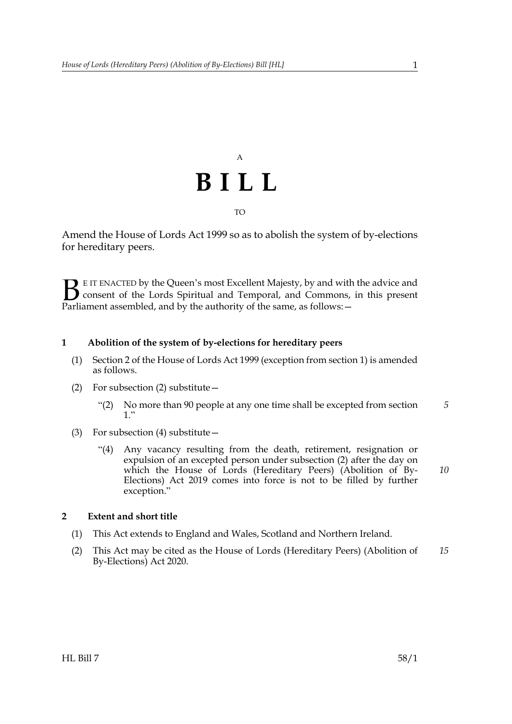## A **BILL** TO

Amend the House of Lords Act 1999 so as to abolish the system of by-elections for hereditary peers.

E IT ENACTED by the Queen's most Excellent Majesty, by and with the advice and consent of the Lords Spiritual and Temporal, and Commons, in this present **B** E IT ENACTED by the Queen's most Excellent Majesty, by and with consent of the Lords Spiritual and Temporal, and Commons, Parliament assembled, and by the authority of the same, as follows:  $-$ 

### **1 Abolition of the system of by-elections for hereditary peers**

- (1) Section 2 of the House of Lords Act 1999 (exception from section 1) is amended as follows.
- <span id="page-0-0"></span>(2) For subsection (2) substitute—
	- "(2) No more than 90 people at any one time shall be excepted from section 1." *5*
- (3) For subsection (4) substitute—
	- "(4) Any vacancy resulting from the death, retirement, resignation or expulsion of an excepted person under subsection [\(2\)](#page-0-0) after the day on which the House of Lords (Hereditary Peers) (Abolition of By-Elections) Act 2019 comes into force is not to be filled by further exception." *10*

#### **2 Extent and short title**

- (1) This Act extends to England and Wales, Scotland and Northern Ireland.
- (2) This Act may be cited as the House of Lords (Hereditary Peers) (Abolition of By-Elections) Act 2020. *15*